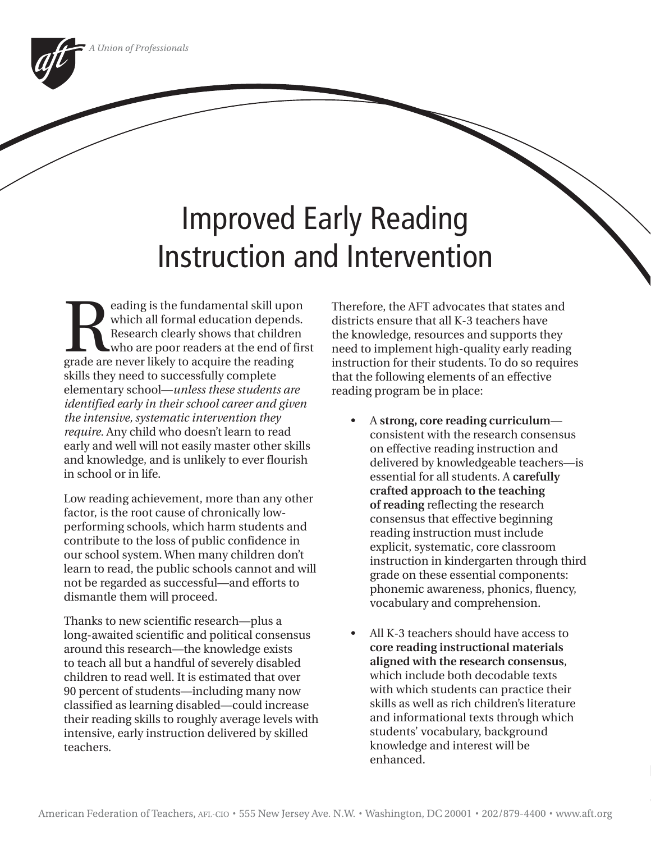# Improved Early Reading Instruction and Intervention

eading is the fundamental skill upon<br>
which all formal education depends.<br>
Research clearly shows that children<br>
who are poor readers at the end of fir<br>
grade are never likely to acquire the reading which all formal education depends. Research clearly shows that children who are poor readers at the end of first skills they need to successfully complete elementary school—*unless these students are identified early in their school career and given the intensive, systematic intervention they require.* Any child who doesn't learn to read early and well will not easily master other skills and knowledge, and is unlikely to ever flourish in school or in life.

Low reading achievement, more than any other factor, is the root cause of chronically lowperforming schools, which harm students and contribute to the loss of public confidence in our school system. When many children don't learn to read, the public schools cannot and will not be regarded as successful—and efforts to dismantle them will proceed.

Thanks to new scientific research—plus a long-awaited scientific and political consensus around this research—the knowledge exists to teach all but a handful of severely disabled children to read well. It is estimated that over 90 percent of students—including many now classified as learning disabled—could increase their reading skills to roughly average levels with intensive, early instruction delivered by skilled teachers.

Therefore, the AFT advocates that states and districts ensure that all K-3 teachers have the knowledge, resources and supports they need to implement high-quality early reading instruction for their students. To do so requires that the following elements of an effective reading program be in place:

- A **strong, core reading curriculum** consistent with the research consensus on effective reading instruction and delivered by knowledgeable teachers—is essential for all students. A **carefully crafted approach to the teaching of reading** reflecting the research consensus that effective beginning reading instruction must include explicit, systematic, core classroom instruction in kindergarten through third grade on these essential components: phonemic awareness, phonics, fluency, vocabulary and comprehension.
- All K-3 teachers should have access to **core reading instructional materials aligned with the research consensus**, which include both decodable texts with which students can practice their skills as well as rich children's literature and informational texts through which students' vocabulary, background knowledge and interest will be enhanced.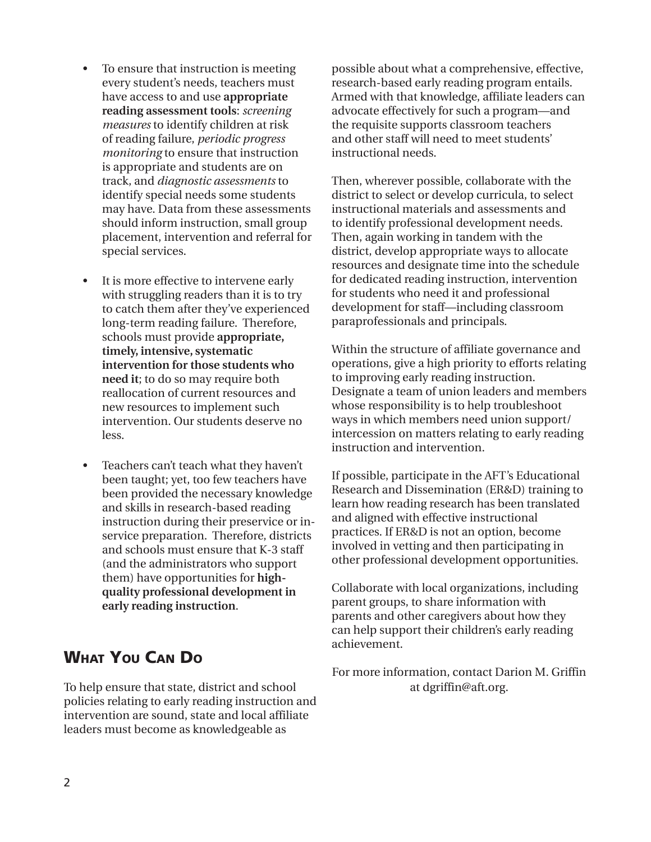- To ensure that instruction is meeting every student's needs, teachers must have access to and use **appropriate reading assessment tools**: *screening measures* to identify children at risk of reading failure, *periodic progress monitoring* to ensure that instruction is appropriate and students are on track, and *diagnostic assessments* to identify special needs some students may have. Data from these assessments should inform instruction, small group placement, intervention and referral for special services.
- It is more effective to intervene early with struggling readers than it is to try to catch them after they've experienced long-term reading failure. Therefore, schools must provide **appropriate, timely, intensive, systematic intervention for those students who need it**; to do so may require both reallocation of current resources and new resources to implement such intervention. Our students deserve no less.
- Teachers can't teach what they haven't been taught; yet, too few teachers have been provided the necessary knowledge and skills in research-based reading instruction during their preservice or inservice preparation. Therefore, districts and schools must ensure that K-3 staff (and the administrators who support them) have opportunities for **highquality professional development in early reading instruction**.

## **WHAT YOU CAN DO**

To help ensure that state, district and school policies relating to early reading instruction and intervention are sound, state and local affiliate leaders must become as knowledgeable as

possible about what a comprehensive, effective, research-based early reading program entails. Armed with that knowledge, affiliate leaders can advocate effectively for such a program—and the requisite supports classroom teachers and other staff will need to meet students' instructional needs.

Then, wherever possible, collaborate with the district to select or develop curricula, to select instructional materials and assessments and to identify professional development needs. Then, again working in tandem with the district, develop appropriate ways to allocate resources and designate time into the schedule for dedicated reading instruction, intervention for students who need it and professional development for staff—including classroom paraprofessionals and principals.

Within the structure of affiliate governance and operations, give a high priority to efforts relating to improving early reading instruction. Designate a team of union leaders and members whose responsibility is to help troubleshoot ways in which members need union support/ intercession on matters relating to early reading instruction and intervention.

If possible, participate in the AFT's Educational Research and Dissemination (ER&D) training to learn how reading research has been translated and aligned with effective instructional practices. If ER&D is not an option, become involved in vetting and then participating in other professional development opportunities.

Collaborate with local organizations, including parent groups, to share information with parents and other caregivers about how they can help support their children's early reading achievement.

For more information, contact Darion M. Griffin at dgriffin@aft.org.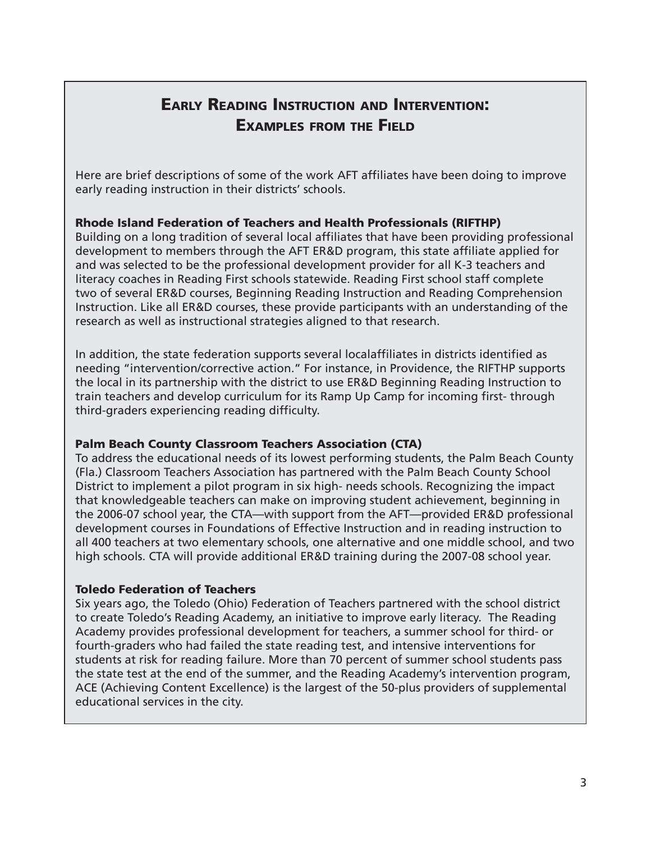# **EARLY READING INSTRUCTION AND INTERVENTION: EXAMPLES FROM THE FIELD**

Here are brief descriptions of some of the work AFT affiliates have been doing to improve early reading instruction in their districts' schools.

#### **Rhode Island Federation of Teachers and Health Professionals (RIFTHP)**

Building on a long tradition of several local affiliates that have been providing professional development to members through the AFT ER&D program, this state affiliate applied for and was selected to be the professional development provider for all K-3 teachers and literacy coaches in Reading First schools statewide. Reading First school staff complete two of several ER&D courses, Beginning Reading Instruction and Reading Comprehension Instruction. Like all ER&D courses, these provide participants with an understanding of the research as well as instructional strategies aligned to that research.

In addition, the state federation supports several localaffiliates in districts identified as needing "intervention/corrective action." For instance, in Providence, the RIFTHP supports the local in its partnership with the district to use ER&D Beginning Reading Instruction to train teachers and develop curriculum for its Ramp Up Camp for incoming first- through third-graders experiencing reading difficulty.

#### **Palm Beach County Classroom Teachers Association (CTA)**

To address the educational needs of its lowest performing students, the Palm Beach County (Fla.) Classroom Teachers Association has partnered with the Palm Beach County School District to implement a pilot program in six high- needs schools. Recognizing the impact that knowledgeable teachers can make on improving student achievement, beginning in the 2006-07 school year, the CTA—with support from the AFT—provided ER&D professional development courses in Foundations of Effective Instruction and in reading instruction to all 400 teachers at two elementary schools, one alternative and one middle school, and two high schools. CTA will provide additional ER&D training during the 2007-08 school year.

#### **Toledo Federation of Teachers**

Six years ago, the Toledo (Ohio) Federation of Teachers partnered with the school district to create Toledo's Reading Academy, an initiative to improve early literacy. The Reading Academy provides professional development for teachers, a summer school for third- or fourth-graders who had failed the state reading test, and intensive interventions for students at risk for reading failure. More than 70 percent of summer school students pass the state test at the end of the summer, and the Reading Academy's intervention program, ACE (Achieving Content Excellence) is the largest of the 50-plus providers of supplemental educational services in the city.